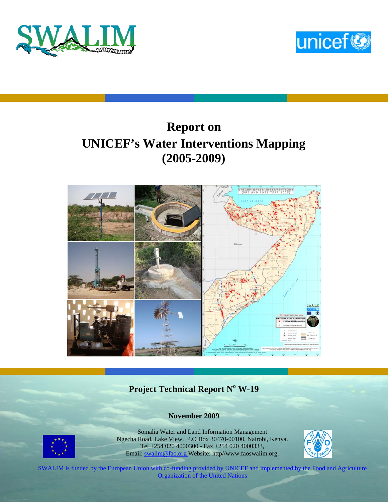



# **Report on UNICEF's Water Interventions Mapping (2005-2009)**



## **Project Technical Report N° W-19**

#### **November 2009**



Somalia Water and Land Information Management Ngecha Road, Lake View. P.O Box 30470-00100, Nairobi, Kenya. Tel +254 020 4000300 - Fax +254 020 4000333, Email: swalim@fao.org Website: http//www.faoswalim.org.



SWALIM is funded by the European Union with co-funding provided by UNICEF and implemented by the Food and Agriculture Organization of the United Nations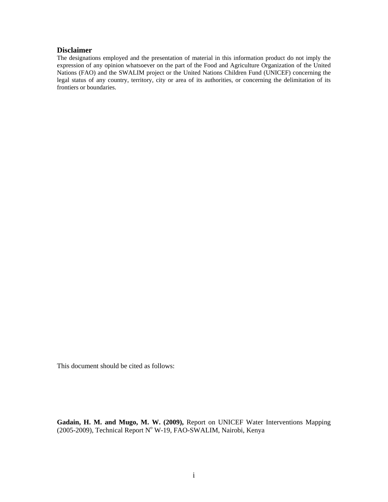#### **Disclaimer**

The designations employed and the presentation of material in this information product do not imply the expression of any opinion whatsoever on the part of the Food and Agriculture Organization of the United Nations (FAO) and the SWALIM project or the United Nations Children Fund (UNICEF) concerning the legal status of any country, territory, city or area of its authorities, or concerning the delimitation of its frontiers or boundaries.

This document should be cited as follows:

**Gadain, H. M. and Mugo, M. W. (2009),** Report on UNICEF Water Interventions Mapping (2005-2009), Technical Report Nº W-19, FAO-SWALIM, Nairobi, Kenya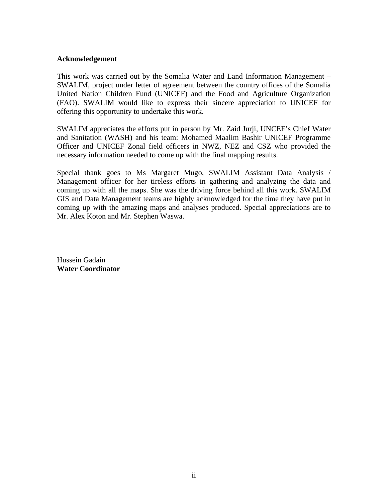#### **Acknowledgement**

This work was carried out by the Somalia Water and Land Information Management – SWALIM, project under letter of agreement between the country offices of the Somalia United Nation Children Fund (UNICEF) and the Food and Agriculture Organization (FAO). SWALIM would like to express their sincere appreciation to UNICEF for offering this opportunity to undertake this work.

SWALIM appreciates the efforts put in person by Mr. Zaid Jurji, UNCEF's Chief Water and Sanitation (WASH) and his team: Mohamed Maalim Bashir UNICEF Programme Officer and UNICEF Zonal field officers in NWZ, NEZ and CSZ who provided the necessary information needed to come up with the final mapping results.

Special thank goes to Ms Margaret Mugo, SWALIM Assistant Data Analysis / Management officer for her tireless efforts in gathering and analyzing the data and coming up with all the maps. She was the driving force behind all this work. SWALIM GIS and Data Management teams are highly acknowledged for the time they have put in coming up with the amazing maps and analyses produced. Special appreciations are to Mr. Alex Koton and Mr. Stephen Waswa.

Hussein Gadain **Water Coordinator**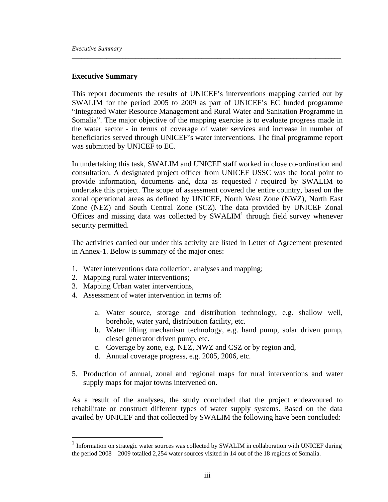#### **Executive Summary**

This report documents the results of UNICEF's interventions mapping carried out by SWALIM for the period 2005 to 2009 as part of UNICEF's EC funded programme "Integrated Water Resource Management and Rural Water and Sanitation Programme in Somalia". The major objective of the mapping exercise is to evaluate progress made in the water sector - in terms of coverage of water services and increase in number of beneficiaries served through UNICEF's water interventions. The final programme report was submitted by UNICEF to EC.

*\_\_\_\_\_\_\_\_\_\_\_\_\_\_\_\_\_\_\_\_\_\_\_\_\_\_\_\_\_\_\_\_\_\_\_\_\_\_\_\_\_\_\_\_\_\_\_\_\_\_\_\_\_\_\_\_\_\_\_\_\_\_\_\_\_\_\_\_\_\_\_\_\_\_\_\_\_\_\_\_\_\_\_\_\_* 

In undertaking this task, SWALIM and UNICEF staff worked in close co-ordination and consultation. A designated project officer from UNICEF USSC was the focal point to provide information, documents and, data as requested / required by SWALIM to undertake this project. The scope of assessment covered the entire country, based on the zonal operational areas as defined by UNICEF, North West Zone (NWZ), North East Zone (NEZ) and South Central Zone (SCZ). The data provided by UNICEF Zonal Offices and missing data was collected by  $SWALIM<sup>1</sup>$  through field survey whenever security permitted.

The activities carried out under this activity are listed in Letter of Agreement presented in Annex-1. Below is summary of the major ones:

- 1. Water interventions data collection, analyses and mapping;
- 2. Mapping rural water interventions;

 $\overline{a}$ 

- 3. Mapping Urban water interventions,
- 4. Assessment of water intervention in terms of:
	- a. Water source, storage and distribution technology, e.g. shallow well, borehole, water yard, distribution facility, etc.
	- b. Water lifting mechanism technology, e.g. hand pump, solar driven pump, diesel generator driven pump, etc.
	- c. Coverage by zone, e.g. NEZ, NWZ and CSZ or by region and,
	- d. Annual coverage progress, e.g. 2005, 2006, etc.
- 5. Production of annual, zonal and regional maps for rural interventions and water supply maps for major towns intervened on.

As a result of the analyses, the study concluded that the project endeavoured to rehabilitate or construct different types of water supply systems. Based on the data availed by UNICEF and that collected by SWALIM the following have been concluded:

 $1$  Information on strategic water sources was collected by SWALIM in collaboration with UNICEF during the period 2008 – 2009 totalled 2,254 water sources visited in 14 out of the 18 regions of Somalia.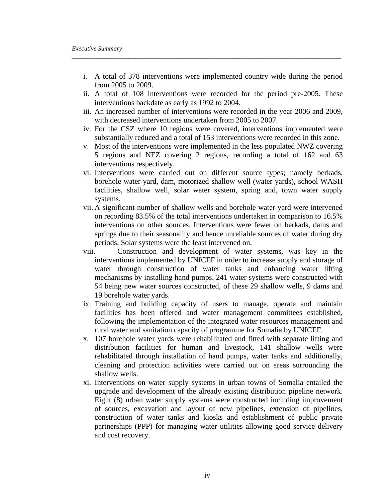i. A total of 378 interventions were implemented country wide during the period from 2005 to 2009.

*\_\_\_\_\_\_\_\_\_\_\_\_\_\_\_\_\_\_\_\_\_\_\_\_\_\_\_\_\_\_\_\_\_\_\_\_\_\_\_\_\_\_\_\_\_\_\_\_\_\_\_\_\_\_\_\_\_\_\_\_\_\_\_\_\_\_\_\_\_\_\_\_\_\_\_\_\_\_\_\_\_\_\_\_\_* 

- ii. A total of 108 interventions were recorded for the period pre-2005. These interventions backdate as early as 1992 to 2004.
- iii. An increased number of interventions were recorded in the year 2006 and 2009, with decreased interventions undertaken from 2005 to 2007.
- iv. For the CSZ where 10 regions were covered, interventions implemented were substantially reduced and a total of 153 interventions were recorded in this zone.
- v. Most of the interventions were implemented in the less populated NWZ covering 5 regions and NEZ covering 2 regions, recording a total of 162 and 63 interventions respectively.
- vi. Interventions were carried out on different source types; namely berkads, borehole water yard, dam, motorized shallow well (water yards), school WASH facilities, shallow well, solar water system, spring and, town water supply systems.
- vii. A significant number of shallow wells and borehole water yard were intervened on recording 83.5% of the total interventions undertaken in comparison to 16.5% interventions on other sources. Interventions were fewer on berkads, dams and springs due to their seasonality and hence unreliable sources of water during dry periods. Solar systems were the least intervened on.
- viii. Construction and development of water systems, was key in the interventions implemented by UNICEF in order to increase supply and storage of water through construction of water tanks and enhancing water lifting mechanisms by installing hand pumps. 241 water systems were constructed with 54 being new water sources constructed, of these 29 shallow wells, 9 dams and 19 borehole water yards.
- ix. Training and building capacity of users to manage, operate and maintain facilities has been offered and water management committees established, following the implementation of the integrated water resources management and rural water and sanitation capacity of programme for Somalia by UNICEF.
- x. 107 borehole water yards were rehabilitated and fitted with separate lifting and distribution facilities for human and livestock, 141 shallow wells were rehabilitated through installation of hand pumps, water tanks and additionally, cleaning and protection activities were carried out on areas surrounding the shallow wells.
- xi. Interventions on water supply systems in urban towns of Somalia entailed the upgrade and development of the already existing distribution pipeline network. Eight (8) urban water supply systems were constructed including improvement of sources, excavation and layout of new pipelines, extension of pipelines, construction of water tanks and kiosks and establishment of public private partnerships (PPP) for managing water utilities allowing good service delivery and cost recovery.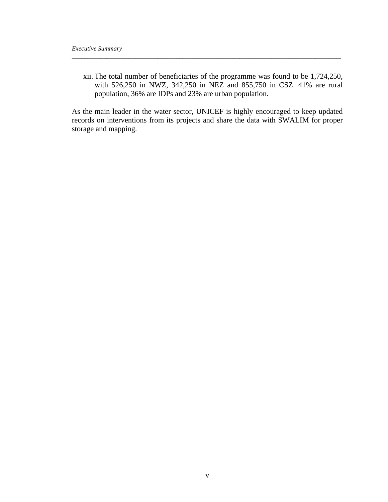xii. The total number of beneficiaries of the programme was found to be 1,724,250, with 526,250 in NWZ, 342,250 in NEZ and 855,750 in CSZ. 41% are rural population, 36% are IDPs and 23% are urban population.

*\_\_\_\_\_\_\_\_\_\_\_\_\_\_\_\_\_\_\_\_\_\_\_\_\_\_\_\_\_\_\_\_\_\_\_\_\_\_\_\_\_\_\_\_\_\_\_\_\_\_\_\_\_\_\_\_\_\_\_\_\_\_\_\_\_\_\_\_\_\_\_\_\_\_\_\_\_\_\_\_\_\_\_\_\_* 

As the main leader in the water sector, UNICEF is highly encouraged to keep updated records on interventions from its projects and share the data with SWALIM for proper storage and mapping.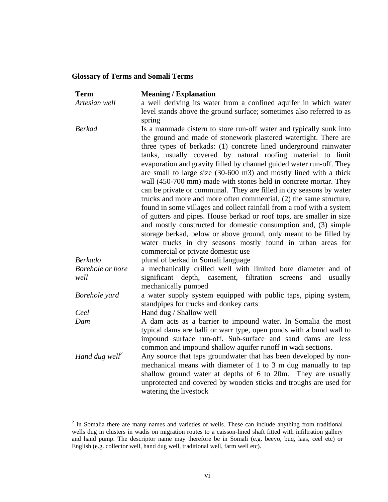#### **Glossary of Terms and Somali Terms**

| <b>Term</b>                | <b>Meaning / Explanation</b>                                            |
|----------------------------|-------------------------------------------------------------------------|
| Artesian well              | a well deriving its water from a confined aquifer in which water        |
|                            | level stands above the ground surface; sometimes also referred to as    |
|                            | spring                                                                  |
| <b>Berkad</b>              | Is a manmade cistern to store run-off water and typically sunk into     |
|                            | the ground and made of stonework plastered watertight. There are        |
|                            | three types of berkads: (1) concrete lined underground rainwater        |
|                            | tanks, usually covered by natural roofing material to limit             |
|                            | evaporation and gravity filled by channel guided water run-off. They    |
|                            | are small to large size (30-600 m3) and mostly lined with a thick       |
|                            | wall (450-700 mm) made with stones held in concrete mortar. They        |
|                            | can be private or communal. They are filled in dry seasons by water     |
|                            | trucks and more and more often commercial, (2) the same structure,      |
|                            | found in some villages and collect rainfall from a roof with a system   |
|                            | of gutters and pipes. House berkad or roof tops, are smaller in size    |
|                            | and mostly constructed for domestic consumption and, (3) simple         |
|                            | storage berkad, below or above ground, only meant to be filled by       |
|                            | water trucks in dry seasons mostly found in urban areas for             |
|                            | commercial or private domestic use                                      |
| <b>Berkado</b>             | plural of berkad in Somali language                                     |
| Borehole or bore           | a mechanically drilled well with limited bore diameter and of           |
| well                       | depth, casement, filtration<br>significant<br>screens<br>and<br>usually |
|                            | mechanically pumped                                                     |
| Borehole yard              | a water supply system equipped with public taps, piping system,         |
| Ceel                       | standpipes for trucks and donkey carts<br>Hand dug / Shallow well       |
| Dam                        | A dam acts as a barrier to impound water. In Somalia the most           |
|                            | typical dams are balli or warr type, open ponds with a bund wall to     |
|                            | impound surface run-off. Sub-surface and sand dams are less             |
|                            | common and impound shallow aquifer runoff in wadi sections.             |
| Hand dug well <sup>2</sup> | Any source that taps groundwater that has been developed by non-        |
|                            | mechanical means with diameter of 1 to 3 m dug manually to tap          |
|                            | shallow ground water at depths of 6 to 20m. They are usually            |
|                            | unprotected and covered by wooden sticks and troughs are used for       |
|                            | watering the livestock                                                  |

<sup>&</sup>lt;sup>2</sup> In Somalia there are many names and varieties of wells. These can include anything from traditional wells dug in clusters in wadis on migration routes to a caisson-lined shaft fitted with infiltration gallery and hand pump. The descriptor name may therefore be in Somali (e.g. beeyo, buq, laas, ceel etc) or English (e.g. collector well, hand dug well, traditional well, farm well etc).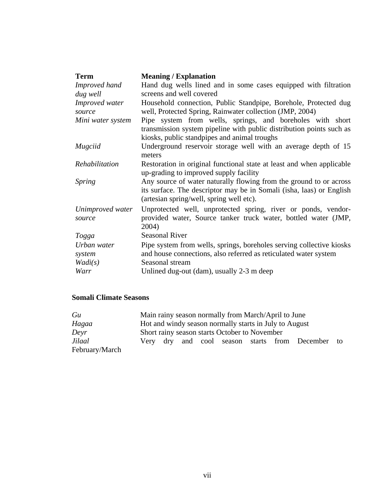| <b>Term</b>       | <b>Meaning / Explanation</b>                                          |
|-------------------|-----------------------------------------------------------------------|
| Improved hand     | Hand dug wells lined and in some cases equipped with filtration       |
| dug well          | screens and well covered                                              |
| Improved water    | Household connection, Public Standpipe, Borehole, Protected dug       |
| source            | well, Protected Spring, Rainwater collection (JMP, 2004)              |
| Mini water system | Pipe system from wells, springs, and boreholes with short             |
|                   | transmission system pipeline with public distribution points such as  |
|                   | kiosks, public standpipes and animal troughs                          |
| Mugciid           | Underground reservoir storage well with an average depth of 15        |
|                   | meters                                                                |
| Rehabilitation    | Restoration in original functional state at least and when applicable |
|                   | up-grading to improved supply facility                                |
| <i>Spring</i>     | Any source of water naturally flowing from the ground to or across    |
|                   | its surface. The descriptor may be in Somali (isha, laas) or English  |
|                   | (artesian spring/well, spring well etc).                              |
| Unimproved water  | Unprotected well, unprotected spring, river or ponds, vendor-         |
| source            | provided water, Source tanker truck water, bottled water (JMP,        |
|                   | 2004)                                                                 |
| Togga             | <b>Seasonal River</b>                                                 |
| Urban water       | Pipe system from wells, springs, boreholes serving collective kiosks  |
| system            | and house connections, also referred as reticulated water system      |
| Wadi(s)           | Seasonal stream                                                       |
| Warr              | Unlined dug-out (dam), usually 2-3 m deep                             |

#### **Somali Climate Seasons**

| Gu             | Main rainy season normally from March/April to June |  |  |  |                                                        |  |                                                  |  |
|----------------|-----------------------------------------------------|--|--|--|--------------------------------------------------------|--|--------------------------------------------------|--|
| Hagaa          |                                                     |  |  |  | Hot and windy season normally starts in July to August |  |                                                  |  |
| Deyr           | Short rainy season starts October to November       |  |  |  |                                                        |  |                                                  |  |
| Jilaal         |                                                     |  |  |  |                                                        |  | Very dry and cool season starts from December to |  |
| February/March |                                                     |  |  |  |                                                        |  |                                                  |  |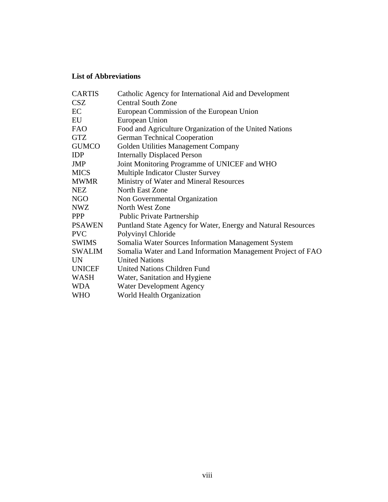#### **List of Abbreviations**

| <b>CARTIS</b> | Catholic Agency for International Aid and Development         |
|---------------|---------------------------------------------------------------|
| <b>CSZ</b>    | <b>Central South Zone</b>                                     |
| EC            | European Commission of the European Union                     |
| EU            | European Union                                                |
| <b>FAO</b>    | Food and Agriculture Organization of the United Nations       |
| <b>GTZ</b>    | <b>German Technical Cooperation</b>                           |
| <b>GUMCO</b>  | Golden Utilities Management Company                           |
| <b>IDP</b>    | <b>Internally Displaced Person</b>                            |
| <b>JMP</b>    | Joint Monitoring Programme of UNICEF and WHO                  |
| <b>MICS</b>   | <b>Multiple Indicator Cluster Survey</b>                      |
| <b>MWMR</b>   | Ministry of Water and Mineral Resources                       |
| <b>NEZ</b>    | North East Zone                                               |
| NGO           | Non Governmental Organization                                 |
| <b>NWZ</b>    | North West Zone                                               |
| <b>PPP</b>    | Public Private Partnership                                    |
| <b>PSAWEN</b> | Puntland State Agency for Water, Energy and Natural Resources |
| <b>PVC</b>    | Polyvinyl Chloride                                            |
| <b>SWIMS</b>  | Somalia Water Sources Information Management System           |
| <b>SWALIM</b> | Somalia Water and Land Information Management Project of FAO  |
| <b>UN</b>     | <b>United Nations</b>                                         |
| <b>UNICEF</b> | United Nations Children Fund                                  |
| WASH          | Water, Sanitation and Hygiene                                 |
| <b>WDA</b>    | Water Development Agency                                      |
| <b>WHO</b>    | World Health Organization                                     |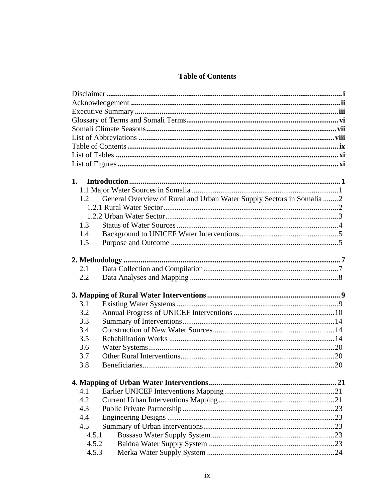### **Table of Contents**

| 1.    |                                                                       |  |
|-------|-----------------------------------------------------------------------|--|
|       |                                                                       |  |
| 1.2   | General Overview of Rural and Urban Water Supply Sectors in Somalia 2 |  |
|       |                                                                       |  |
|       |                                                                       |  |
| 1.3   |                                                                       |  |
| 1.4   |                                                                       |  |
| 1.5   |                                                                       |  |
|       |                                                                       |  |
| 2.1   |                                                                       |  |
| 2.2   |                                                                       |  |
|       |                                                                       |  |
| 3.1   |                                                                       |  |
| 3.2   |                                                                       |  |
| 3.3   |                                                                       |  |
| 3.4   |                                                                       |  |
| 3.5   |                                                                       |  |
| 3.6   |                                                                       |  |
| 3.7   |                                                                       |  |
| 3.8   |                                                                       |  |
|       |                                                                       |  |
| 4.1   |                                                                       |  |
| 4.2   |                                                                       |  |
| 4.3   |                                                                       |  |
| 4.4   |                                                                       |  |
| 4.5   |                                                                       |  |
| 4.5.1 |                                                                       |  |
| 4.5.2 |                                                                       |  |
| 4.5.3 |                                                                       |  |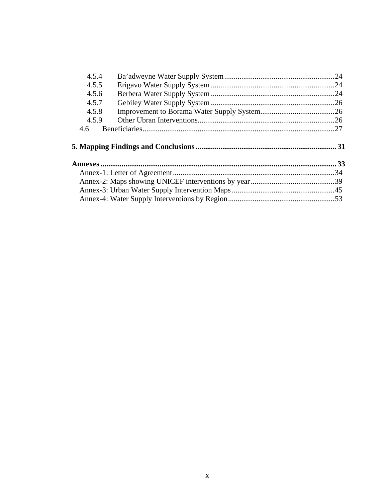| 4.5.4 |  |
|-------|--|
| 4.5.5 |  |
| 4.5.6 |  |
| 4.5.7 |  |
| 4.5.8 |  |
| 4.5.9 |  |
| 4.6   |  |
|       |  |
|       |  |
|       |  |
|       |  |
|       |  |
|       |  |